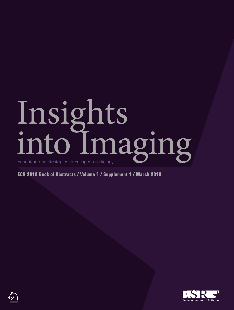# Insights into Imaging

**ECR 2010 Book of Abstracts / Volume 1 / Supplement 1 / March 2010**